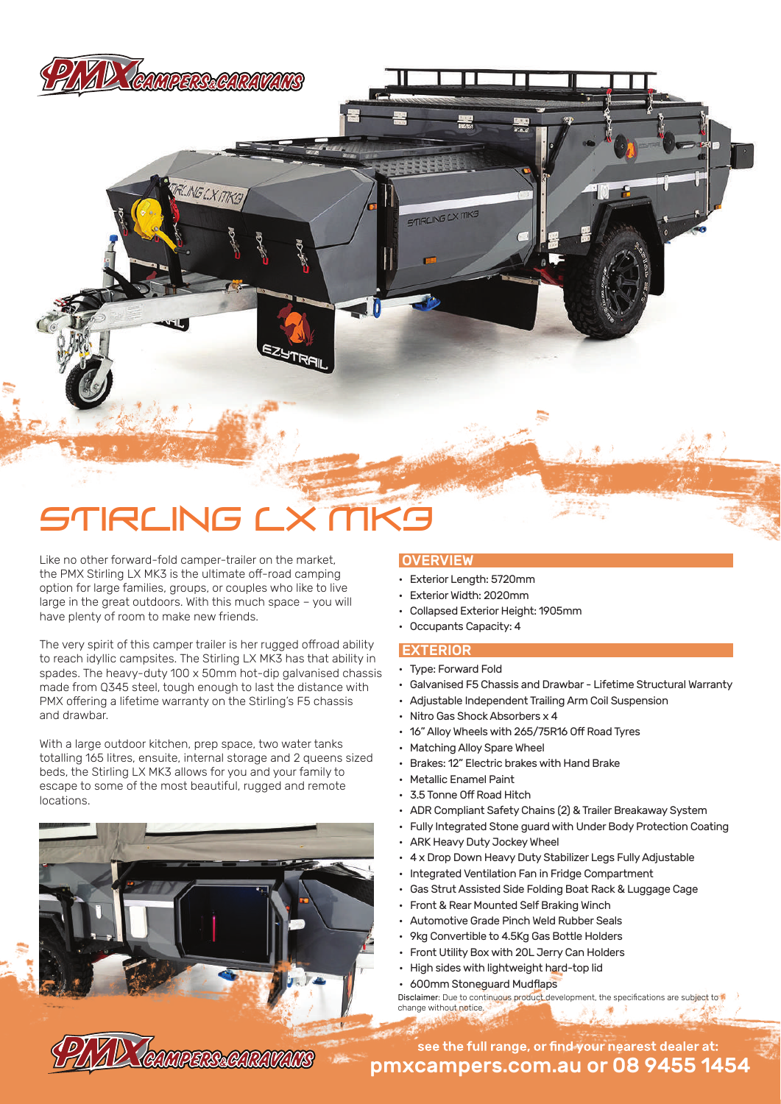

**ELING LX MKG** 

# TIRLING LX MK9

Like no other forward-fold camper-trailer on the market, the PMX Stirling LX MK3 is the ultimate off-road camping option for large families, groups, or couples who like to live large in the great outdoors. With this much space – you will have plenty of room to make new friends.

The very spirit of this camper trailer is her rugged offroad ability to reach idyllic campsites. The Stirling LX MK3 has that ability in spades. The heavy-duty 100 x 50mm hot-dip galvanised chassis made from Q345 steel, tough enough to last the distance with PMX offering a lifetime warranty on the Stirling's F5 chassis and drawbar.

With a large outdoor kitchen, prep space, two water tanks totalling 165 litres, ensuite, internal storage and 2 queens sized beds, the Stirling LX MK3 allows for you and your family to escape to some of the most beautiful, rugged and remote locations.

CAMPERS&CARAVANS

### **OVERVIEW**

**STIRLING LX MKG** 

- Exterior Length: 5720mm
- Exterior Width: 2020mm
- Collapsed Exterior Height: 1905mm
- Occupants Capacity: 4

#### EXTERIOR

- Type: Forward Fold
- Galvanised F5 Chassis and Drawbar Lifetime Structural Warranty
- Adjustable Independent Trailing Arm Coil Suspension
- Nitro Gas Shock Absorbers x 4
- 16" Alloy Wheels with 265/75R16 Off Road Tyres
- Matching Alloy Spare Wheel
- Brakes: 12" Electric brakes with Hand Brake
- Metallic Enamel Paint
- 3.5 Tonne Off Road Hitch
- ADR Compliant Safety Chains (2) & Trailer Breakaway System
- Fully Integrated Stone guard with Under Body Protection Coating
- ARK Heavy Duty Jockey Wheel
- 4 x Drop Down Heavy Duty Stabilizer Legs Fully Adjustable
- Integrated Ventilation Fan in Fridge Compartment
- Gas Strut Assisted Side Folding Boat Rack & Luggage Cage
- Front & Rear Mounted Self Braking Winch
- Automotive Grade Pinch Weld Rubber Seals
- 9kg Convertible to 4.5Kg Gas Bottle Holders
- Front Utility Box with 20L Jerry Can Holders
- High sides with lightweight hard-top lid
- 600mm Stoneguard Mudflaps

Disclaimer: Due to continuous product development, the specifications are subject to change without notice.